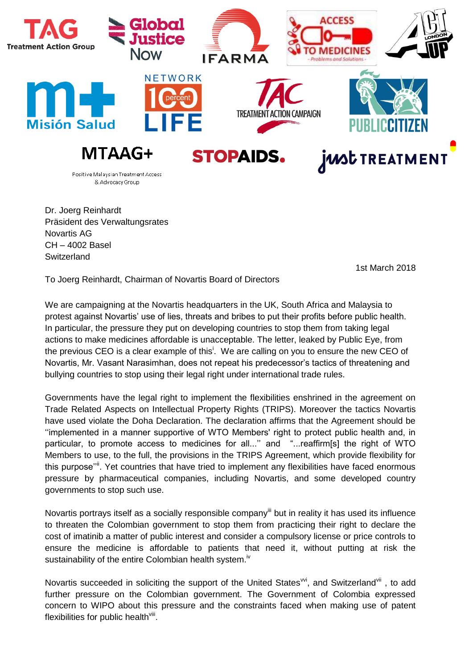

Dr. Joerg Reinhardt Präsident des Verwaltungsrates Novartis AG CH – 4002 Basel **Switzerland** 

1st March 2018

To Joerg Reinhardt, Chairman of Novartis Board of Directors

We are campaigning at the Novartis headquarters in the UK, South Africa and Malaysia to protest against Novartis' use of lies, threats and bribes to put their profits before public health. In particular, the pressure they put on developing countries to stop them from taking legal actions to make medicines affordable is unacceptable. The letter, leaked by Public Eye, from the previous CEO is a clear example of this<sup>i</sup>. We are calling on you to ensure the new CEO of Novartis, Mr. Vasant Narasimhan, does not repeat his predecessor's tactics of threatening and bullying countries to stop using their legal right under international trade rules.

Governments have the legal right to implement the flexibilities enshrined in the agreement on Trade Related Aspects on Intellectual Property Rights (TRIPS). Moreover the tactics Novartis have used violate the Doha Declaration. The declaration affirms that the Agreement should be ''implemented in a manner supportive of WTO Members' right to protect public health and, in particular, to promote access to medicines for all..." and "...reaffirm[s] the right of WTO Members to use, to the full, the provisions in the TRIPS Agreement, which provide flexibility for this purpose"<sup>"</sup>. Yet countries that have tried to implement any flexibilities have faced enormous pressure by pharmaceutical companies, including Novartis, and some developed country governments to stop such use.

Novartis portrays itself as a socially responsible company<sup>iii</sup> but in reality it has used its influence to threaten the Colombian government to stop them from practicing their right to declare the cost of imatinib a matter of public interest and consider a compulsory license or price controls to ensure the medicine is affordable to patients that need it, without putting at risk the sustainability of the entire Colombian health system.<sup>iv</sup>

Novartis succeeded in soliciting the support of the United States<sup>vi</sup>, and Switzerland<sup>vii</sup>, to add further pressure on the Colombian government. The Government of Colombia expressed concern to WIPO about this pressure and the constraints faced when making use of patent flexibilities for public health<sup>viii</sup>.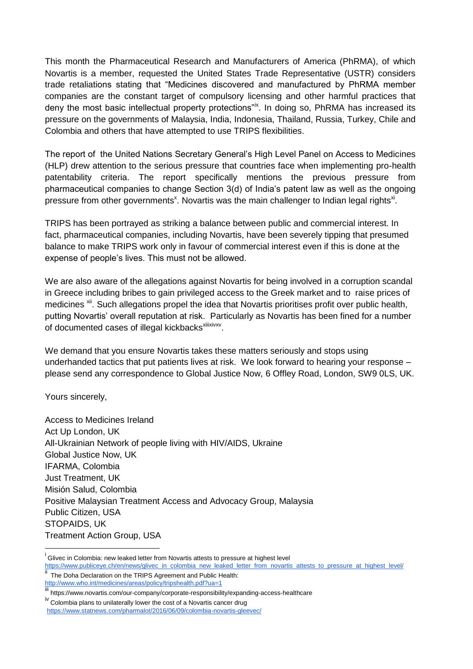This month the Pharmaceutical Research and Manufacturers of America (PhRMA), of which Novartis is a member, requested the United States Trade Representative (USTR) considers trade retaliations stating that "Medicines discovered and manufactured by PhRMA member companies are the constant target of compulsory licensing and other harmful practices that deny the most basic intellectual property protections"<sup>ix</sup>. In doing so, PhRMA has increased its pressure on the governments of Malaysia, India, Indonesia, Thailand, Russia, Turkey, Chile and Colombia and others that have attempted to use TRIPS flexibilities.

The report of the United Nations Secretary General's High Level Panel on Access to Medicines (HLP) drew attention to the serious pressure that countries face when implementing pro-health patentability criteria. The report specifically mentions the previous pressure from pharmaceutical companies to change Section 3(d) of India's patent law as well as the ongoing pressure from other governments<sup>x</sup>. Novartis was the main challenger to Indian legal rights<sup>xi</sup>.

TRIPS has been portrayed as striking a balance between public and commercial interest. In fact, pharmaceutical companies, including Novartis, have been severely tipping that presumed balance to make TRIPS work only in favour of commercial interest even if this is done at the expense of people's lives. This must not be allowed.

We are also aware of the allegations against Novartis for being involved in a corruption scandal in Greece including bribes to gain privileged access to the Greek market and to raise prices of medicines <sup>xii</sup>. Such allegations propel the idea that Novartis prioritises profit over public health, putting Novartis' overall reputation at risk. Particularly as Novartis has been fined for a number of documented cases of illegal kickbacks<sup>xilixivxv</sup>.

We demand that you ensure Novartis takes these matters seriously and stops using underhanded tactics that put patients lives at risk. We look forward to hearing your response – please send any correspondence to Global Justice Now, 6 Offley Road, London, SW9 0LS, UK.

Yours sincerely,

 $\overline{a}$ 

Access to Medicines Ireland Act Up London, UK All-Ukrainian Network of people living with HIV/AIDS, Ukraine Global Justice Now, UK IFARMA, Colombia Just Treatment, UK Misión Salud, Colombia Positive Malaysian Treatment Access and Advocacy Group, Malaysia Public Citizen, USA STOPAIDS, UK Treatment Action Group, USA

<sup>&</sup>lt;sup>i</sup> Glivec in Colombia: new leaked letter from Novartis attests to pressure at highest level [https://www.publiceye.ch/en/news/glivec\\_in\\_colombia\\_new\\_leaked\\_letter\\_from\\_novartis\\_attests\\_to\\_pressure\\_at\\_highest\\_level/](https://www.publiceye.ch/en/news/glivec_in_colombia_new_leaked_letter_from_novartis_attests_to_pressure_at_highest_level/)

The Doha Declaration on the TRIPS Agreement and Public Health: <http://www.who.int/medicines/areas/policy/tripshealth.pdf?ua=1>

inter//www.www.novartis.com/our-company/corporate-responsibility/expanding-access-healthcare

iv Colombia plans to unilaterally lower the cost of a Novartis cancer drug <https://www.statnews.com/pharmalot/2016/06/09/colombia-novartis-gleevec/>